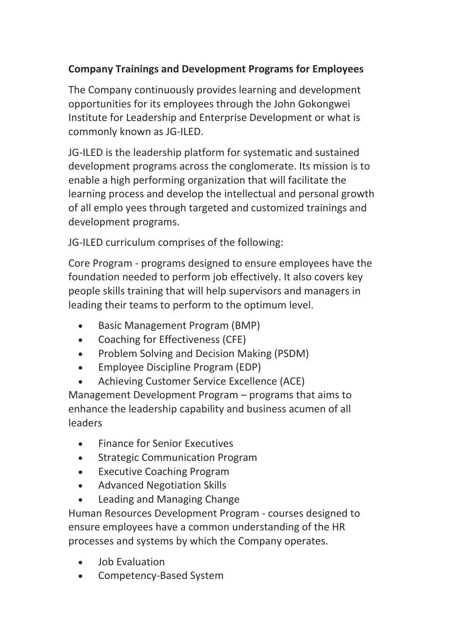## **Company Trainings and Development Programs for Employees**

The Company continuously provides learning and development opportunities for its employees through the John Gokongwei Institute for Leadership and Enterprise Development or what is commonly known as JG-ILED.

JG-ILED is the leadership platform for systematic and sustained development programs across the conglomerate. Its mission is to enable a high performing organization that will facilitate the learning process and develop the intellectual and personal growth of all emplo yees through targeted and customized trainings and development programs.

JG-ILED curriculum comprises of the following:

Core Program - programs designed to ensure employees have the foundation needed to perform job effectively. It also covers key people skills training that will help supervisors and managers in leading their teams to perform to the optimum level.

- Basic Management Program (BMP)
- Coaching for Effectiveness (CFE)
- Problem Solving and Decision Making (PSDM)
- Employee Discipline Program (EDP)
- Achieving Customer Service Excellence (ACE)

Management Development Program – programs that aims to enhance the leadership capability and business acumen of all leaders

- Finance for Senior Executives
- Strategic Communication Program
- Executive Coaching Program
- Advanced Negotiation Skills
- Leading and Managing Change

Human Resources Development Program - courses designed to ensure employees have a common understanding of the HR processes and systems by which the Company operates.

- Job Evaluation
- Competency-Based System